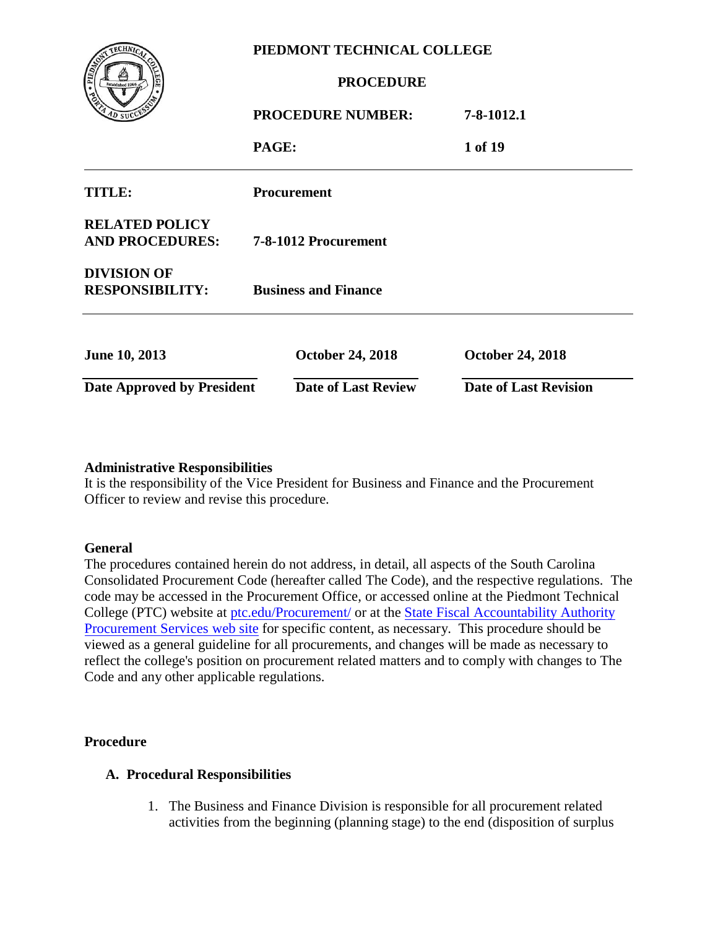| <b>SOLIDATION</b>                               | PIEDMONT TECHNICAL COLLEGE  |                                              |                              |  |
|-------------------------------------------------|-----------------------------|----------------------------------------------|------------------------------|--|
| Established 1966<br>AD SUCC                     |                             | <b>PROCEDURE</b><br><b>PROCEDURE NUMBER:</b> | 7-8-1012.1                   |  |
| <b>TITLE:</b>                                   | PAGE:                       | <b>Procurement</b>                           | 1 of 19                      |  |
| <b>RELATED POLICY</b><br><b>AND PROCEDURES:</b> |                             | 7-8-1012 Procurement                         |                              |  |
| <b>DIVISION OF</b><br><b>RESPONSIBILITY:</b>    | <b>Business and Finance</b> |                                              |                              |  |
| <b>June 10, 2013</b>                            |                             | <b>October 24, 2018</b>                      | <b>October 24, 2018</b>      |  |
| <b>Date Approved by President</b>               |                             | <b>Date of Last Review</b>                   | <b>Date of Last Revision</b> |  |

#### **Administrative Responsibilities**

It is the responsibility of the Vice President for Business and Finance and the Procurement Officer to review and revise this procedure.

#### **General**

The procedures contained herein do not address, in detail, all aspects of the South Carolina Consolidated Procurement Code (hereafter called The Code), and the respective regulations. The code may be accessed in the Procurement Office, or accessed online at the Piedmont Technical College (PTC) website at [ptc.edu/Procure](ptc.edu/Procure/)ment/ or at [the State Fiscal Accountability Authority](http://www.procurement.sc.gov/)  [Procurement Services web site](http://www.procurement.sc.gov/) for specific content, as necessary. This procedure should be viewed as a general guideline for all procurements, and changes will be made as necessary to reflect the college's position on procurement related matters and to comply with changes to The Code and any other applicable regulations.

#### **Procedure**

#### **A. Procedural Responsibilities**

1. The Business and Finance Division is responsible for all procurement related activities from the beginning (planning stage) to the end (disposition of surplus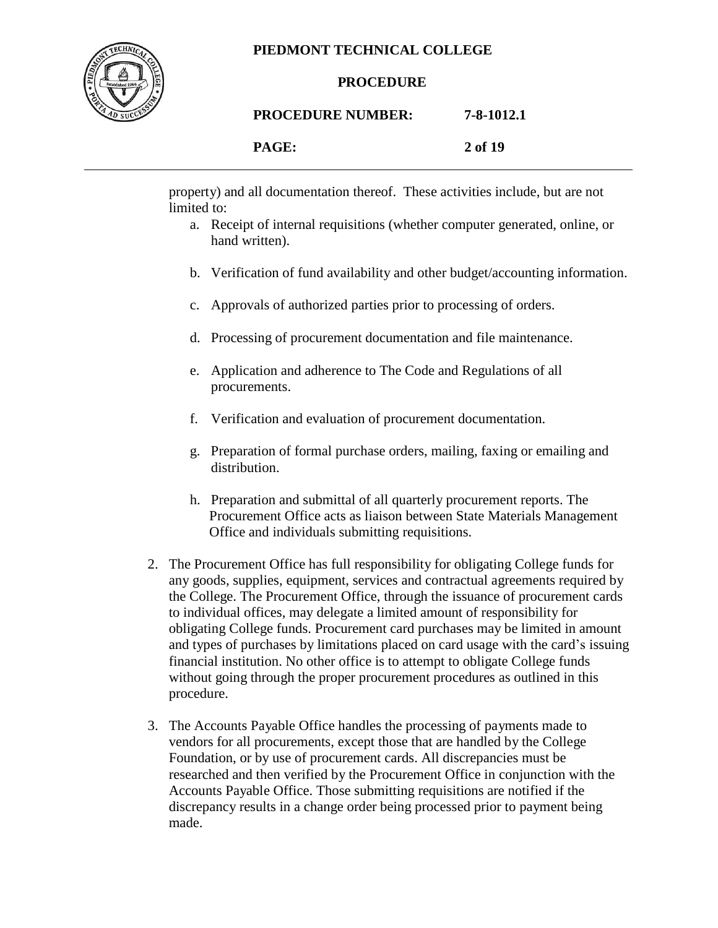

#### **PROCEDURE**

#### **PROCEDURE NUMBER: 7-8-1012.1**

| PAGE: |  |
|-------|--|
|-------|--|

**PAGE: 2 of 19**

property) and all documentation thereof. These activities include, but are not limited to:

- a. Receipt of internal requisitions (whether computer generated, online, or hand written).
- b. Verification of fund availability and other budget/accounting information.
- c. Approvals of authorized parties prior to processing of orders.
- d. Processing of procurement documentation and file maintenance.
- e. Application and adherence to The Code and Regulations of all procurements.
- f. Verification and evaluation of procurement documentation.
- g. Preparation of formal purchase orders, mailing, faxing or emailing and distribution.
- h. Preparation and submittal of all quarterly procurement reports. The Procurement Office acts as liaison between State Materials Management Office and individuals submitting requisitions.
- 2. The Procurement Office has full responsibility for obligating College funds for any goods, supplies, equipment, services and contractual agreements required by the College. The Procurement Office, through the issuance of procurement cards to individual offices, may delegate a limited amount of responsibility for obligating College funds. Procurement card purchases may be limited in amount and types of purchases by limitations placed on card usage with the card's issuing financial institution. No other office is to attempt to obligate College funds without going through the proper procurement procedures as outlined in this procedure.
- 3. The Accounts Payable Office handles the processing of payments made to vendors for all procurements, except those that are handled by the College Foundation, or by use of procurement cards. All discrepancies must be researched and then verified by the Procurement Office in conjunction with the Accounts Payable Office. Those submitting requisitions are notified if the discrepancy results in a change order being processed prior to payment being made.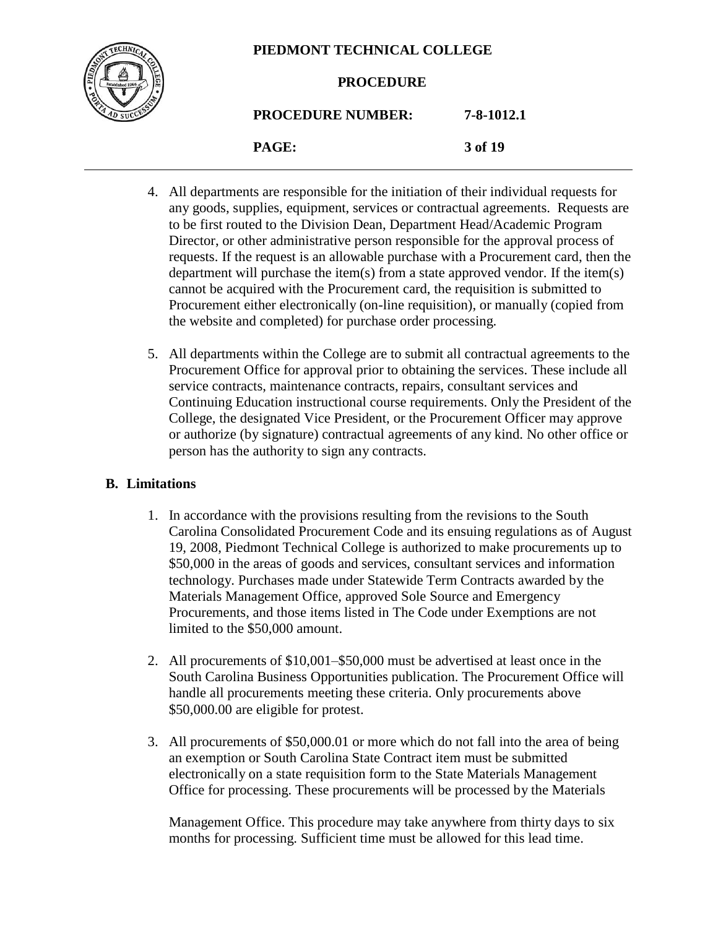

#### **PROCEDURE**

# **PROCEDURE NUMBER: 7-8-1012.1**

**PAGE: 3 of 19**

- 4. All departments are responsible for the initiation of their individual requests for any goods, supplies, equipment, services or contractual agreements. Requests are to be first routed to the Division Dean, Department Head/Academic Program Director, or other administrative person responsible for the approval process of requests. If the request is an allowable purchase with a Procurement card, then the department will purchase the item(s) from a state approved vendor. If the item(s) cannot be acquired with the Procurement card, the requisition is submitted to Procurement either electronically (on-line requisition), or manually (copied from the website and completed) for purchase order processing.
- 5. All departments within the College are to submit all contractual agreements to the Procurement Office for approval prior to obtaining the services. These include all service contracts, maintenance contracts, repairs, consultant services and Continuing Education instructional course requirements. Only the President of the College, the designated Vice President, or the Procurement Officer may approve or authorize (by signature) contractual agreements of any kind. No other office or person has the authority to sign any contracts.

#### **B. Limitations**

- 1. In accordance with the provisions resulting from the revisions to the South Carolina Consolidated Procurement Code and its ensuing regulations as of August 19, 2008, Piedmont Technical College is authorized to make procurements up to \$50,000 in the areas of goods and services, consultant services and information technology. Purchases made under Statewide Term Contracts awarded by the Materials Management Office, approved Sole Source and Emergency Procurements, and those items listed in The Code under Exemptions are not limited to the \$50,000 amount.
- 2. All procurements of \$10,001–\$50,000 must be advertised at least once in the South Carolina Business Opportunities publication. The Procurement Office will handle all procurements meeting these criteria. Only procurements above \$50,000.00 are eligible for protest.
- 3. All procurements of \$50,000.01 or more which do not fall into the area of being an exemption or South Carolina State Contract item must be submitted electronically on a state requisition form to the State Materials Management Office for processing. These procurements will be processed by the Materials

Management Office. This procedure may take anywhere from thirty days to six months for processing. Sufficient time must be allowed for this lead time.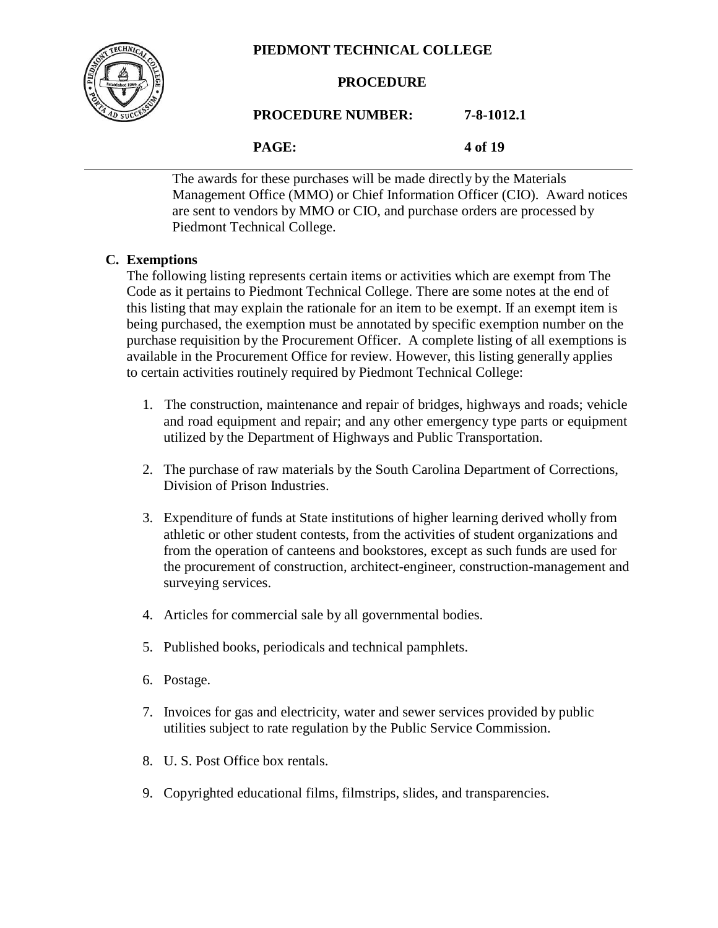

#### **PROCEDURE**

**PROCEDURE NUMBER: 7-8-1012.1**

**PAGE: 4 of 19**

The awards for these purchases will be made directly by the Materials Management Office (MMO) or Chief Information Officer (CIO). Award notices are sent to vendors by MMO or CIO, and purchase orders are processed by Piedmont Technical College.

#### **C. Exemptions**

The following listing represents certain items or activities which are exempt from The Code as it pertains to Piedmont Technical College. There are some notes at the end of this listing that may explain the rationale for an item to be exempt. If an exempt item is being purchased, the exemption must be annotated by specific exemption number on the purchase requisition by the Procurement Officer. A complete listing of all exemptions is available in the Procurement Office for review. However, this listing generally applies to certain activities routinely required by Piedmont Technical College:

- 1. The construction, maintenance and repair of bridges, highways and roads; vehicle and road equipment and repair; and any other emergency type parts or equipment utilized by the Department of Highways and Public Transportation.
- 2. The purchase of raw materials by the South Carolina Department of Corrections, Division of Prison Industries.
- 3. Expenditure of funds at State institutions of higher learning derived wholly from athletic or other student contests, from the activities of student organizations and from the operation of canteens and bookstores, except as such funds are used for the procurement of construction, architect-engineer, construction-management and surveying services.
- 4. Articles for commercial sale by all governmental bodies.
- 5. Published books, periodicals and technical pamphlets.
- 6. Postage.
- 7. Invoices for gas and electricity, water and sewer services provided by public utilities subject to rate regulation by the Public Service Commission.
- 8. U. S. Post Office box rentals.
- 9. Copyrighted educational films, filmstrips, slides, and transparencies.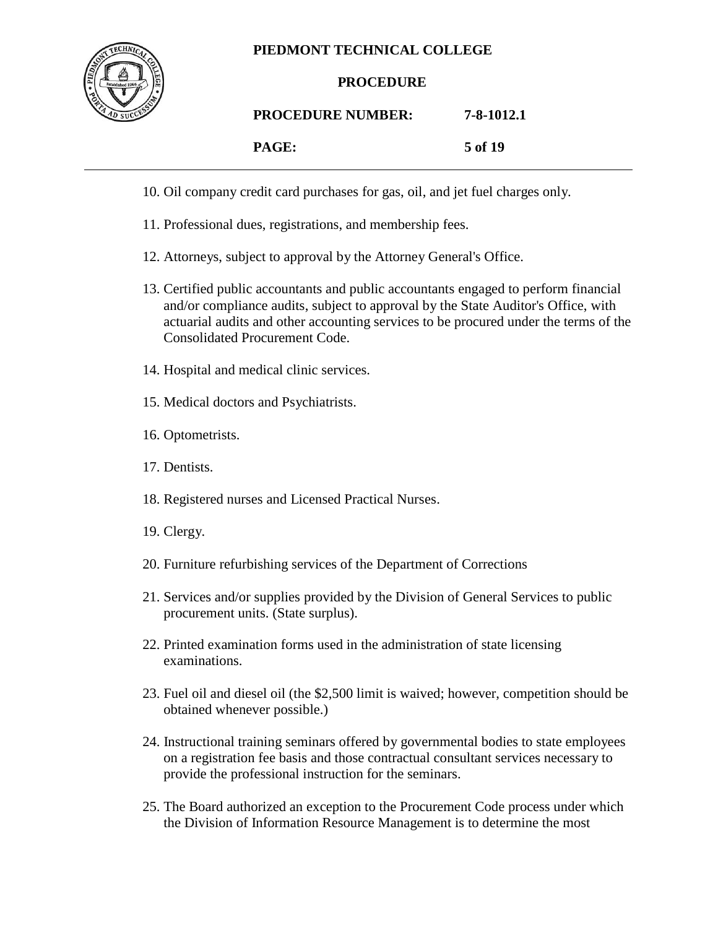

#### **PROCEDURE**

#### **PROCEDURE NUMBER: 7-8-1012.1**

| 5 of 19 |
|---------|
|         |

- 10. Oil company credit card purchases for gas, oil, and jet fuel charges only.
- 11. Professional dues, registrations, and membership fees.
- 12. Attorneys, subject to approval by the Attorney General's Office.
- 13. Certified public accountants and public accountants engaged to perform financial and/or compliance audits, subject to approval by the State Auditor's Office, with actuarial audits and other accounting services to be procured under the terms of the Consolidated Procurement Code.
- 14. Hospital and medical clinic services.
- 15. Medical doctors and Psychiatrists.
- 16. Optometrists.
- 17. Dentists.
- 18. Registered nurses and Licensed Practical Nurses.
- 19. Clergy.
- 20. Furniture refurbishing services of the Department of Corrections
- 21. Services and/or supplies provided by the Division of General Services to public procurement units. (State surplus).
- 22. Printed examination forms used in the administration of state licensing examinations.
- 23. Fuel oil and diesel oil (the \$2,500 limit is waived; however, competition should be obtained whenever possible.)
- 24. Instructional training seminars offered by governmental bodies to state employees on a registration fee basis and those contractual consultant services necessary to provide the professional instruction for the seminars.
- 25. The Board authorized an exception to the Procurement Code process under which the Division of Information Resource Management is to determine the most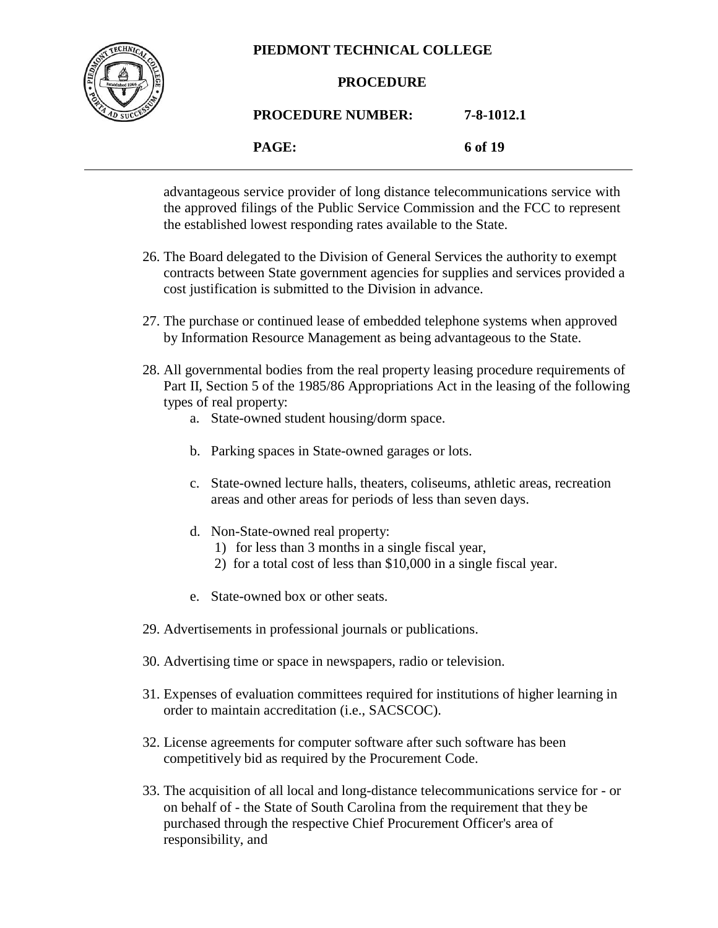

#### **PROCEDURE**

## **PROCEDURE NUMBER: 7-8-1012.1**

**PAGE: 6 of 19**

advantageous service provider of long distance telecommunications service with the approved filings of the Public Service Commission and the FCC to represent the established lowest responding rates available to the State.

- 26. The Board delegated to the Division of General Services the authority to exempt contracts between State government agencies for supplies and services provided a cost justification is submitted to the Division in advance.
- 27. The purchase or continued lease of embedded telephone systems when approved by Information Resource Management as being advantageous to the State.
- 28. All governmental bodies from the real property leasing procedure requirements of Part II, Section 5 of the 1985/86 Appropriations Act in the leasing of the following types of real property:
	- a. State-owned student housing/dorm space.
	- b. Parking spaces in State-owned garages or lots.
	- c. State-owned lecture halls, theaters, coliseums, athletic areas, recreation areas and other areas for periods of less than seven days.
	- d. Non-State-owned real property:
		- 1) for less than 3 months in a single fiscal year,
		- 2) for a total cost of less than \$10,000 in a single fiscal year.
	- e. State-owned box or other seats.
- 29. Advertisements in professional journals or publications.
- 30. Advertising time or space in newspapers, radio or television.
- 31. Expenses of evaluation committees required for institutions of higher learning in order to maintain accreditation (i.e., SACSCOC).
- 32. License agreements for computer software after such software has been competitively bid as required by the Procurement Code.
- 33. The acquisition of all local and long-distance telecommunications service for or on behalf of - the State of South Carolina from the requirement that they be purchased through the respective Chief Procurement Officer's area of responsibility, and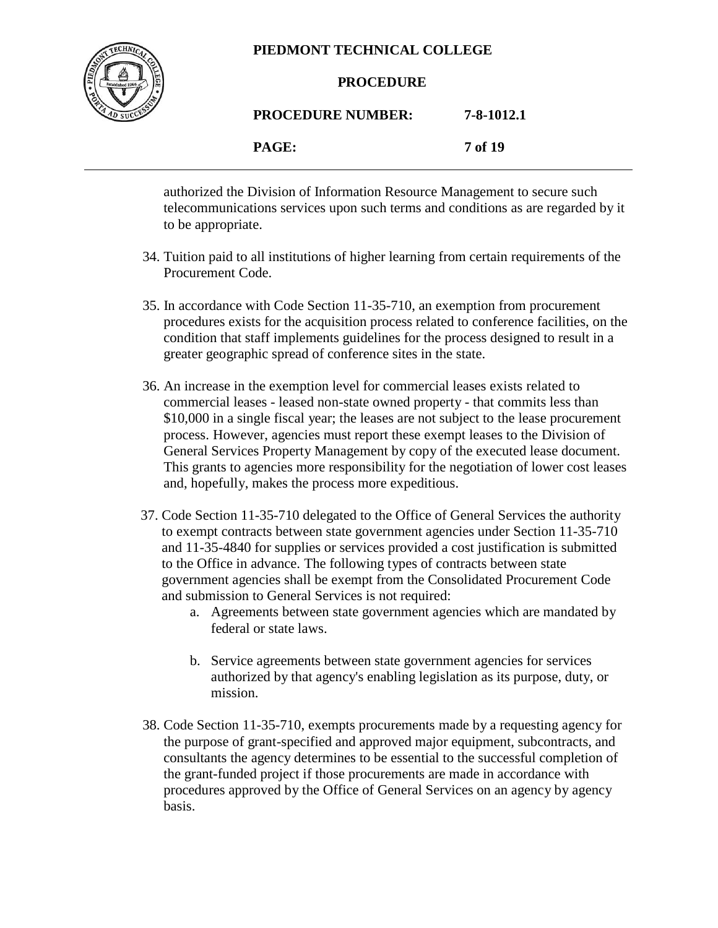

#### **PROCEDURE**

# **PROCEDURE NUMBER: 7-8-1012.1**

**PAGE: 7 of 19**

authorized the Division of Information Resource Management to secure such telecommunications services upon such terms and conditions as are regarded by it to be appropriate.

- 34. Tuition paid to all institutions of higher learning from certain requirements of the Procurement Code.
- 35. In accordance with Code Section 11-35-710, an exemption from procurement procedures exists for the acquisition process related to conference facilities, on the condition that staff implements guidelines for the process designed to result in a greater geographic spread of conference sites in the state.
- 36. An increase in the exemption level for commercial leases exists related to commercial leases - leased non-state owned property - that commits less than \$10,000 in a single fiscal year; the leases are not subject to the lease procurement process. However, agencies must report these exempt leases to the Division of General Services Property Management by copy of the executed lease document. This grants to agencies more responsibility for the negotiation of lower cost leases and, hopefully, makes the process more expeditious.
- 37. Code Section 11-35-710 delegated to the Office of General Services the authority to exempt contracts between state government agencies under Section 11-35-710 and 11-35-4840 for supplies or services provided a cost justification is submitted to the Office in advance. The following types of contracts between state government agencies shall be exempt from the Consolidated Procurement Code and submission to General Services is not required:
	- a. Agreements between state government agencies which are mandated by federal or state laws.
	- b. Service agreements between state government agencies for services authorized by that agency's enabling legislation as its purpose, duty, or mission.
- 38. Code Section 11-35-710, exempts procurements made by a requesting agency for the purpose of grant-specified and approved major equipment, subcontracts, and consultants the agency determines to be essential to the successful completion of the grant-funded project if those procurements are made in accordance with procedures approved by the Office of General Services on an agency by agency basis.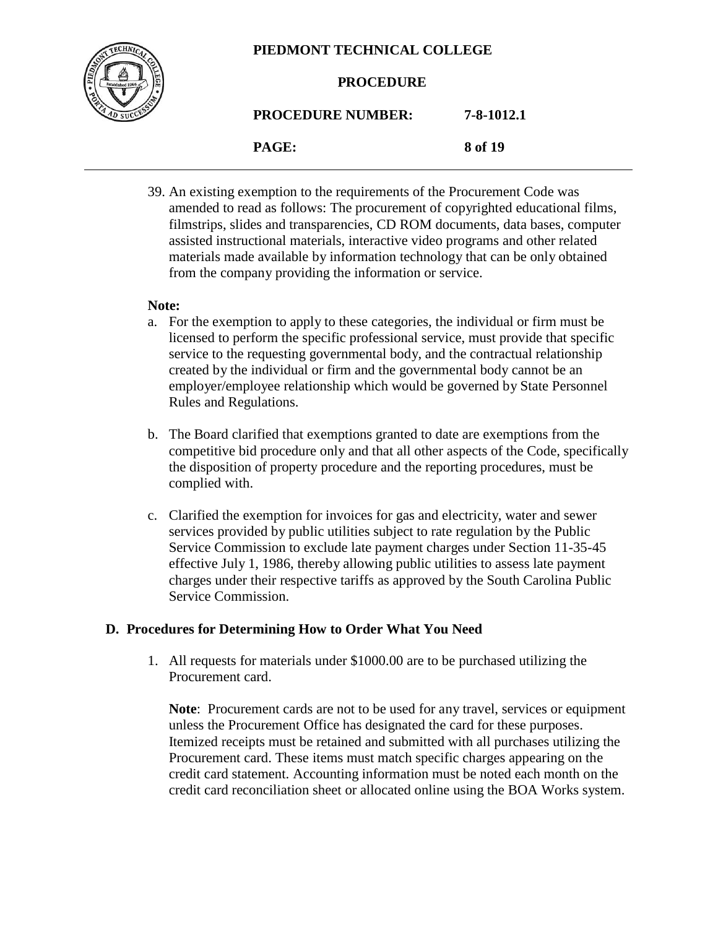

#### **PROCEDURE**

## **PROCEDURE NUMBER: 7-8-1012.1**

**PAGE: 8 of 19**

39. An existing exemption to the requirements of the Procurement Code was amended to read as follows: The procurement of copyrighted educational films, filmstrips, slides and transparencies, CD ROM documents, data bases, computer assisted instructional materials, interactive video programs and other related materials made available by information technology that can be only obtained from the company providing the information or service.

#### **Note:**

- a. For the exemption to apply to these categories, the individual or firm must be licensed to perform the specific professional service, must provide that specific service to the requesting governmental body, and the contractual relationship created by the individual or firm and the governmental body cannot be an employer/employee relationship which would be governed by State Personnel Rules and Regulations.
- b. The Board clarified that exemptions granted to date are exemptions from the competitive bid procedure only and that all other aspects of the Code, specifically the disposition of property procedure and the reporting procedures, must be complied with.
- c. Clarified the exemption for invoices for gas and electricity, water and sewer services provided by public utilities subject to rate regulation by the Public Service Commission to exclude late payment charges under Section 11-35-45 effective July 1, 1986, thereby allowing public utilities to assess late payment charges under their respective tariffs as approved by the South Carolina Public Service Commission.

#### **D. Procedures for Determining How to Order What You Need**

1. All requests for materials under \$1000.00 are to be purchased utilizing the Procurement card.

**Note**: Procurement cards are not to be used for any travel, services or equipment unless the Procurement Office has designated the card for these purposes. Itemized receipts must be retained and submitted with all purchases utilizing the Procurement card. These items must match specific charges appearing on the credit card statement. Accounting information must be noted each month on the credit card reconciliation sheet or allocated online using the BOA Works system.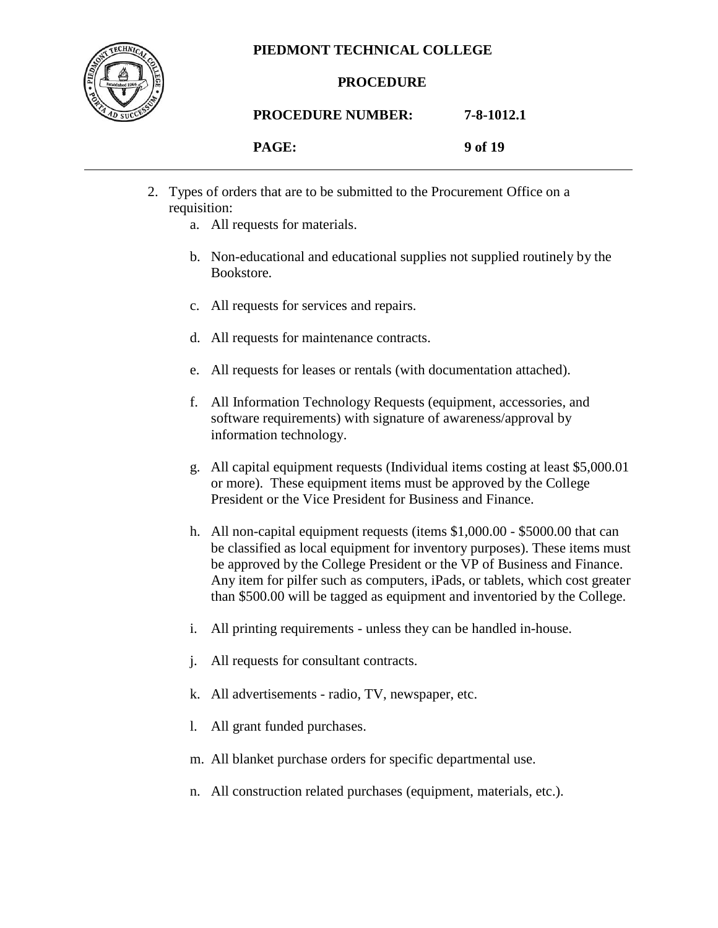

#### **PROCEDURE**

#### **PROCEDURE NUMBER: 7-8-1012.1**

| <b>AGE:</b> |  |
|-------------|--|
|-------------|--|

| PAGE: | 9 of 19 |
|-------|---------|
|       |         |

- 2. Types of orders that are to be submitted to the Procurement Office on a requisition:
	- a. All requests for materials.
	- b. Non-educational and educational supplies not supplied routinely by the Bookstore.
	- c. All requests for services and repairs.
	- d. All requests for maintenance contracts.
	- e. All requests for leases or rentals (with documentation attached).
	- f. All Information Technology Requests (equipment, accessories, and software requirements) with signature of awareness/approval by information technology.
	- g. All capital equipment requests (Individual items costing at least \$5,000.01 or more). These equipment items must be approved by the College President or the Vice President for Business and Finance.
	- h. All non-capital equipment requests (items \$1,000.00 \$5000.00 that can be classified as local equipment for inventory purposes). These items must be approved by the College President or the VP of Business and Finance. Any item for pilfer such as computers, iPads, or tablets, which cost greater than \$500.00 will be tagged as equipment and inventoried by the College.
	- i. All printing requirements unless they can be handled in-house.
	- j. All requests for consultant contracts.
	- k. All advertisements radio, TV, newspaper, etc.
	- l. All grant funded purchases.
	- m. All blanket purchase orders for specific departmental use.
	- n. All construction related purchases (equipment, materials, etc.).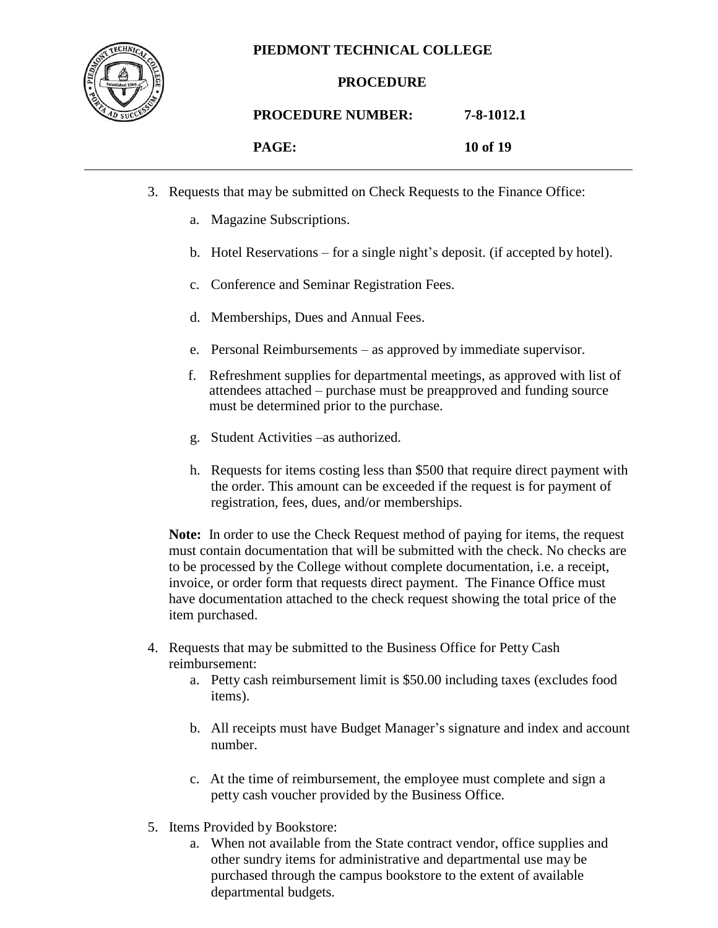

#### **PROCEDURE**

#### **PROCEDURE NUMBER: 7-8-1012.1**

| PAGE: | 10 of 19 |
|-------|----------|
|       |          |

- 
- 3. Requests that may be submitted on Check Requests to the Finance Office:
	- a. Magazine Subscriptions.
	- b. Hotel Reservations for a single night's deposit. (if accepted by hotel).
	- c. Conference and Seminar Registration Fees.
	- d. Memberships, Dues and Annual Fees.
	- e. Personal Reimbursements as approved by immediate supervisor.
	- f. Refreshment supplies for departmental meetings, as approved with list of attendees attached – purchase must be preapproved and funding source must be determined prior to the purchase.
	- g. Student Activities –as authorized.
	- h. Requests for items costing less than \$500 that require direct payment with the order. This amount can be exceeded if the request is for payment of registration, fees, dues, and/or memberships.

**Note:** In order to use the Check Request method of paying for items, the request must contain documentation that will be submitted with the check. No checks are to be processed by the College without complete documentation, i.e. a receipt, invoice, or order form that requests direct payment. The Finance Office must have documentation attached to the check request showing the total price of the item purchased.

- 4. Requests that may be submitted to the Business Office for Petty Cash reimbursement:
	- a. Petty cash reimbursement limit is \$50.00 including taxes (excludes food items).
	- b. All receipts must have Budget Manager's signature and index and account number.
	- c. At the time of reimbursement, the employee must complete and sign a petty cash voucher provided by the Business Office.
- 5. Items Provided by Bookstore:
	- a. When not available from the State contract vendor, office supplies and other sundry items for administrative and departmental use may be purchased through the campus bookstore to the extent of available departmental budgets.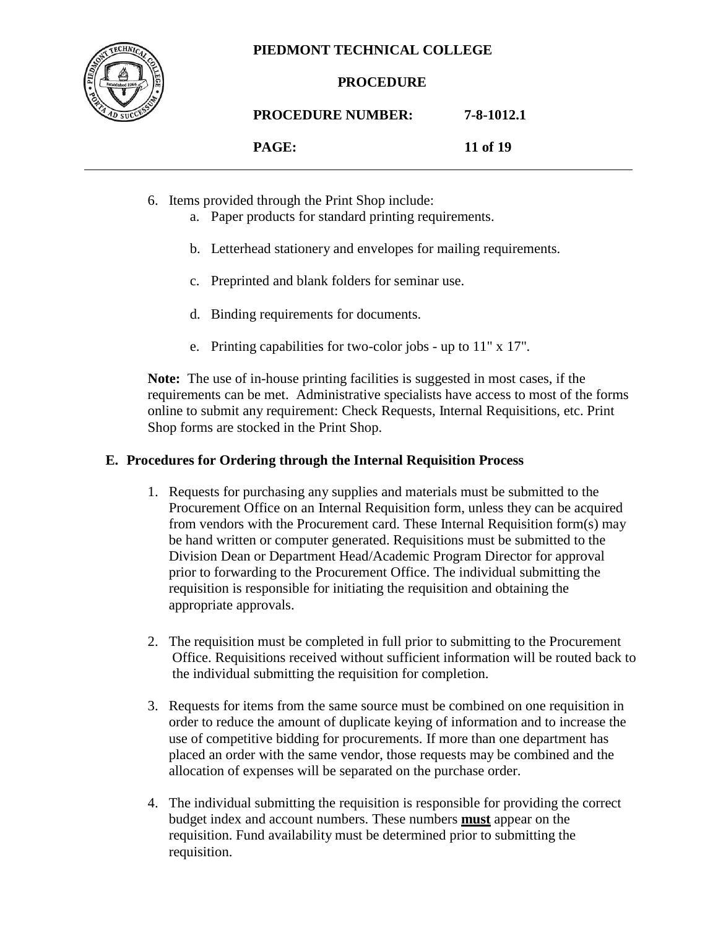

#### **PROCEDURE**

**PROCEDURE NUMBER: 7-8-1012.1**

**PAGE: 11 of 19**

- 6. Items provided through the Print Shop include:
	- a. Paper products for standard printing requirements.
	- b. Letterhead stationery and envelopes for mailing requirements.
	- c. Preprinted and blank folders for seminar use.
	- d. Binding requirements for documents.
	- e. Printing capabilities for two-color jobs up to 11" x 17".

**Note:** The use of in-house printing facilities is suggested in most cases, if the requirements can be met. Administrative specialists have access to most of the forms online to submit any requirement: Check Requests, Internal Requisitions, etc. Print Shop forms are stocked in the Print Shop.

#### **E. Procedures for Ordering through the Internal Requisition Process**

- 1. Requests for purchasing any supplies and materials must be submitted to the Procurement Office on an Internal Requisition form, unless they can be acquired from vendors with the Procurement card. These Internal Requisition form(s) may be hand written or computer generated. Requisitions must be submitted to the Division Dean or Department Head/Academic Program Director for approval prior to forwarding to the Procurement Office. The individual submitting the requisition is responsible for initiating the requisition and obtaining the appropriate approvals.
- 2. The requisition must be completed in full prior to submitting to the Procurement Office. Requisitions received without sufficient information will be routed back to the individual submitting the requisition for completion.
- 3. Requests for items from the same source must be combined on one requisition in order to reduce the amount of duplicate keying of information and to increase the use of competitive bidding for procurements. If more than one department has placed an order with the same vendor, those requests may be combined and the allocation of expenses will be separated on the purchase order.
- 4. The individual submitting the requisition is responsible for providing the correct budget index and account numbers. These numbers **must** appear on the requisition. Fund availability must be determined prior to submitting the requisition.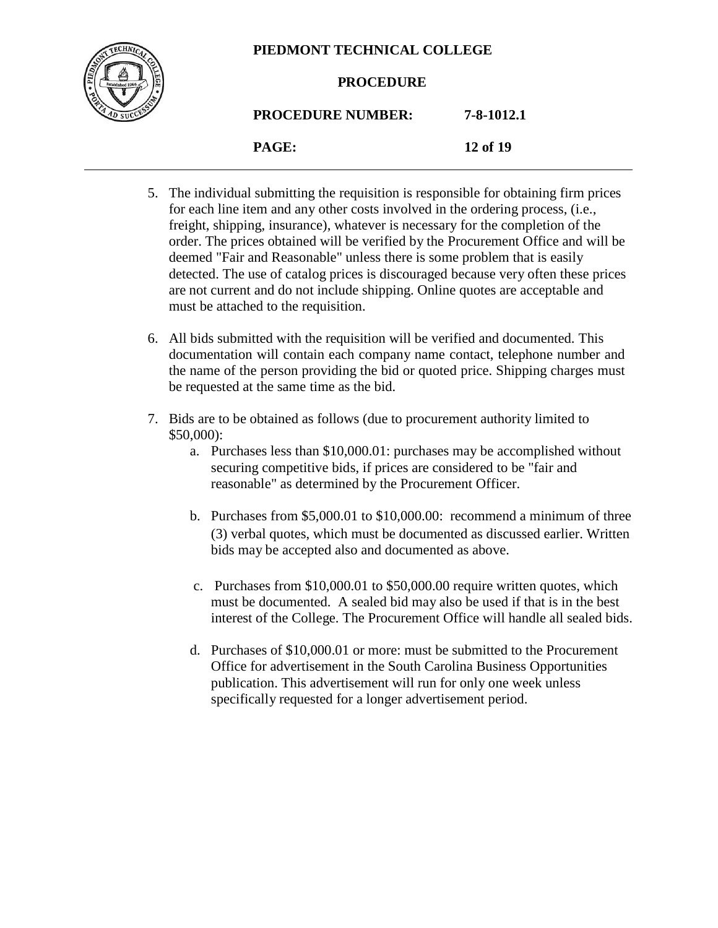

#### **PROCEDURE**

## **PROCEDURE NUMBER: 7-8-1012.1**

**PAGE: 12 of 19**

- 5. The individual submitting the requisition is responsible for obtaining firm prices for each line item and any other costs involved in the ordering process, (i.e., freight, shipping, insurance), whatever is necessary for the completion of the order. The prices obtained will be verified by the Procurement Office and will be deemed "Fair and Reasonable" unless there is some problem that is easily detected. The use of catalog prices is discouraged because very often these prices are not current and do not include shipping. Online quotes are acceptable and must be attached to the requisition.
- 6. All bids submitted with the requisition will be verified and documented. This documentation will contain each company name contact, telephone number and the name of the person providing the bid or quoted price. Shipping charges must be requested at the same time as the bid.
- 7. Bids are to be obtained as follows (due to procurement authority limited to \$50,000):
	- a. Purchases less than \$10,000.01: purchases may be accomplished without securing competitive bids, if prices are considered to be "fair and reasonable" as determined by the Procurement Officer.
	- b. Purchases from \$5,000.01 to \$10,000.00: recommend a minimum of three (3) verbal quotes, which must be documented as discussed earlier. Written bids may be accepted also and documented as above.
	- c. Purchases from \$10,000.01 to \$50,000.00 require written quotes, which must be documented. A sealed bid may also be used if that is in the best interest of the College. The Procurement Office will handle all sealed bids.
	- d. Purchases of \$10,000.01 or more: must be submitted to the Procurement Office for advertisement in the South Carolina Business Opportunities publication. This advertisement will run for only one week unless specifically requested for a longer advertisement period.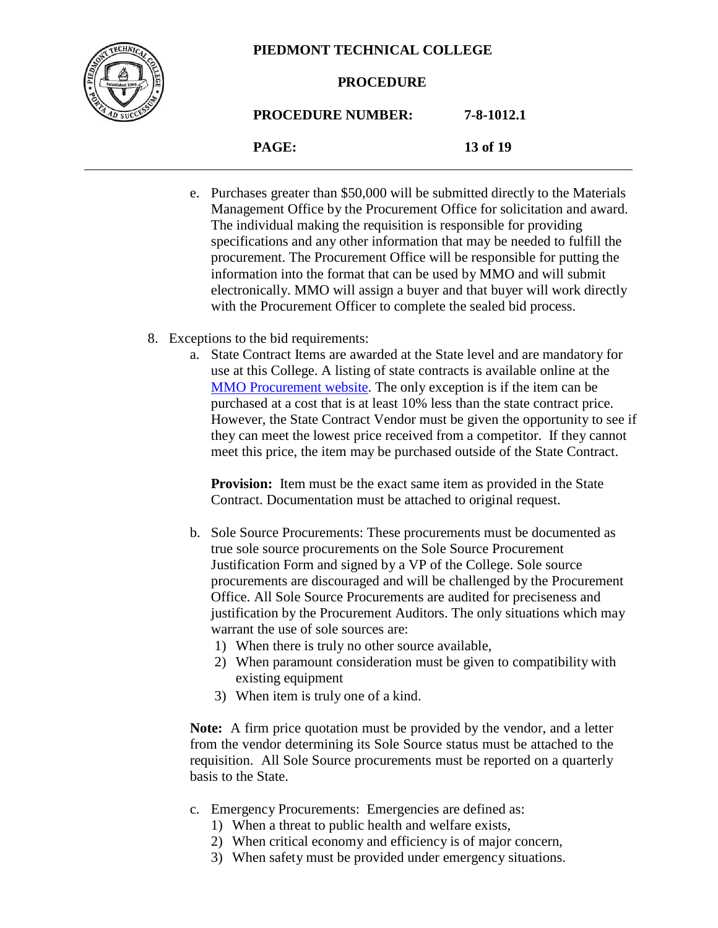

#### **PROCEDURE**

**PROCEDURE NUMBER: 7-8-1012.1**

**PAGE: 13 of 19**

- e. Purchases greater than \$50,000 will be submitted directly to the Materials Management Office by the Procurement Office for solicitation and award. The individual making the requisition is responsible for providing specifications and any other information that may be needed to fulfill the procurement. The Procurement Office will be responsible for putting the information into the format that can be used by MMO and will submit electronically. MMO will assign a buyer and that buyer will work directly with the Procurement Officer to complete the sealed bid process.
- 8. Exceptions to the bid requirements:
	- a. State Contract Items are awarded at the State level and are mandatory for use at this College. A listing of state contracts is available online at the [MMO Procurement website.](http://www.mmo.sc.gov/) The only exception is if the item can be purchased at a cost that is at least 10% less than the state contract price. However, the State Contract Vendor must be given the opportunity to see if they can meet the lowest price received from a competitor. If they cannot meet this price, the item may be purchased outside of the State Contract.

**Provision:** Item must be the exact same item as provided in the State Contract. Documentation must be attached to original request.

- b. Sole Source Procurements: These procurements must be documented as true sole source procurements on the Sole Source Procurement Justification Form and signed by a VP of the College. Sole source procurements are discouraged and will be challenged by the Procurement Office. All Sole Source Procurements are audited for preciseness and justification by the Procurement Auditors. The only situations which may warrant the use of sole sources are:
	- 1) When there is truly no other source available,
	- 2) When paramount consideration must be given to compatibility with existing equipment
	- 3) When item is truly one of a kind.

**Note:** A firm price quotation must be provided by the vendor, and a letter from the vendor determining its Sole Source status must be attached to the requisition. All Sole Source procurements must be reported on a quarterly basis to the State.

- c. Emergency Procurements: Emergencies are defined as:
	- 1) When a threat to public health and welfare exists,
	- 2) When critical economy and efficiency is of major concern,
	- 3) When safety must be provided under emergency situations.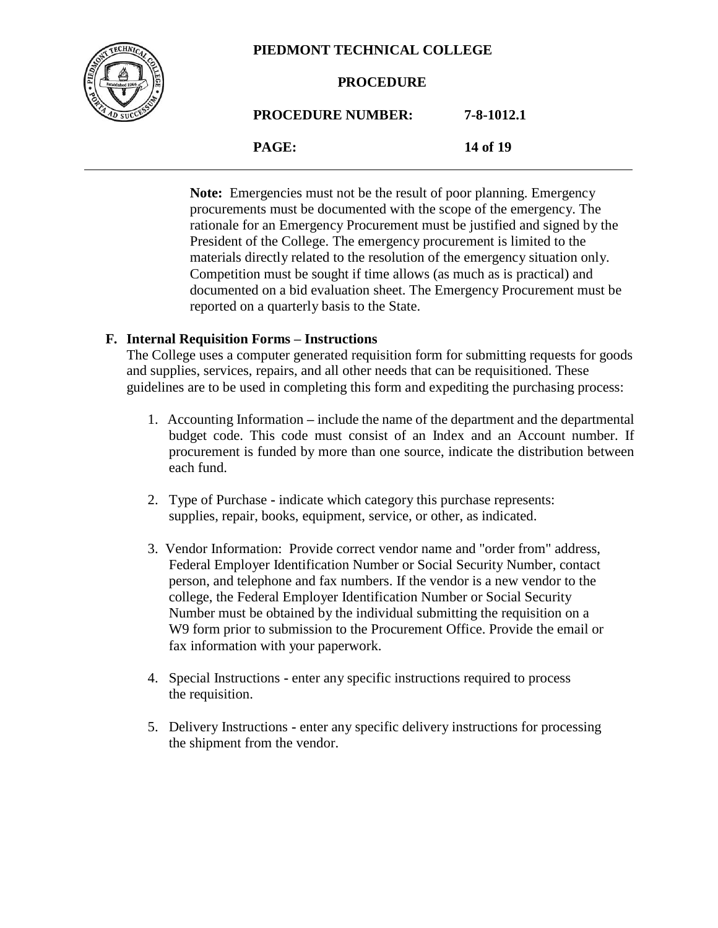

**PROCEDURE**

### **PROCEDURE NUMBER: 7-8-1012.1**

**PAGE: 14 of 19**

Note: Emergencies must not be the result of poor planning. Emergency procurements must be documented with the scope of the emergency. The rationale for an Emergency Procurement must be justified and signed by the President of the College. The emergency procurement is limited to the materials directly related to the resolution of the emergency situation only. Competition must be sought if time allows (as much as is practical) and documented on a bid evaluation sheet. The Emergency Procurement must be reported on a quarterly basis to the State.

#### **F. Internal Requisition Forms – Instructions**

The College uses a computer generated requisition form for submitting requests for goods and supplies, services, repairs, and all other needs that can be requisitioned. These guidelines are to be used in completing this form and expediting the purchasing process:

- 1. Accounting Information **–** include the name of the department and the departmental budget code. This code must consist of an Index and an Account number. If procurement is funded by more than one source, indicate the distribution between each fund.
- 2. Type of Purchase **-** indicate which category this purchase represents: supplies, repair, books, equipment, service, or other, as indicated.
- 3. Vendor Information: Provide correct vendor name and "order from" address, Federal Employer Identification Number or Social Security Number, contact person, and telephone and fax numbers. If the vendor is a new vendor to the college, the Federal Employer Identification Number or Social Security Number must be obtained by the individual submitting the requisition on a W9 form prior to submission to the Procurement Office. Provide the email or fax information with your paperwork.
- 4. Special Instructions **-** enter any specific instructions required to process the requisition.
- 5. Delivery Instructions **-** enter any specific delivery instructions for processing the shipment from the vendor.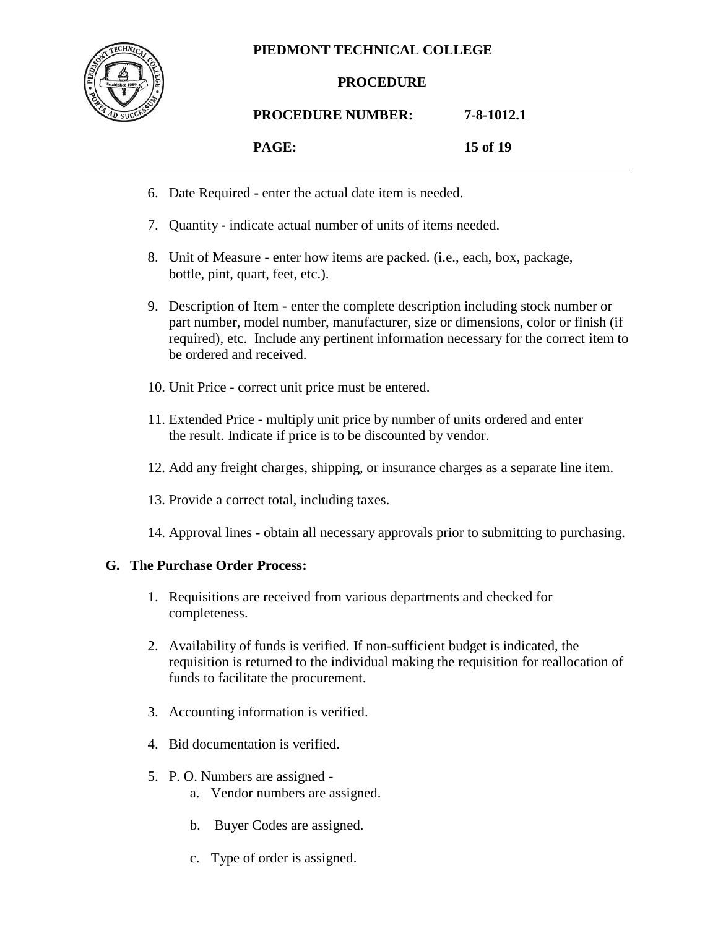

#### **PROCEDURE**

#### **PROCEDURE NUMBER: 7-8-1012.1**

#### **PAGE: 15 of 19**

- 6. Date Required **-** enter the actual date item is needed.
- 7. Quantity **-** indicate actual number of units of items needed.
- 8. Unit of Measure **-** enter how items are packed. (i.e., each, box, package, bottle, pint, quart, feet, etc.).
- 9. Description of Item **-** enter the complete description including stock number or part number, model number, manufacturer, size or dimensions, color or finish (if required), etc. Include any pertinent information necessary for the correct item to be ordered and received.
- 10. Unit Price **-** correct unit price must be entered.
- 11. Extended Price **-** multiply unit price by number of units ordered and enter the result. Indicate if price is to be discounted by vendor.
- 12. Add any freight charges, shipping, or insurance charges as a separate line item.
- 13. Provide a correct total, including taxes.
- 14. Approval lines obtain all necessary approvals prior to submitting to purchasing.

#### **G. The Purchase Order Process:**

- 1. Requisitions are received from various departments and checked for completeness.
- 2. Availability of funds is verified. If non-sufficient budget is indicated, the requisition is returned to the individual making the requisition for reallocation of funds to facilitate the procurement.
- 3. Accounting information is verified.
- 4. Bid documentation is verified.
- 5. P. O. Numbers are assigned
	- a. Vendor numbers are assigned.
	- b. Buyer Codes are assigned.
	- c. Type of order is assigned.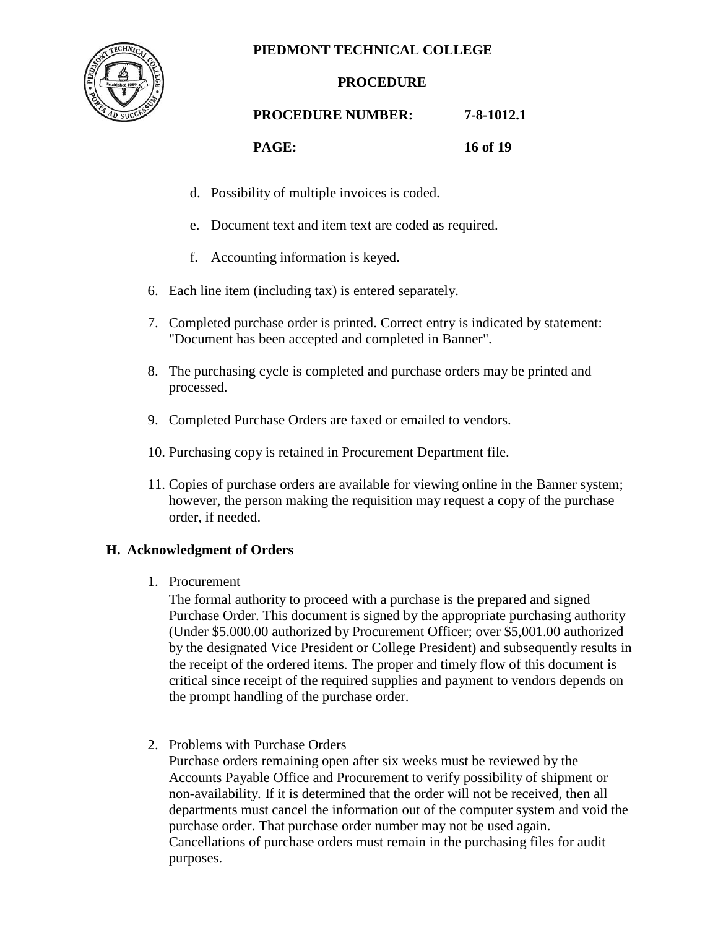

#### **PROCEDURE**

### **PROCEDURE NUMBER: 7-8-1012.1**

**PAGE: 16 of 19**

- d. Possibility of multiple invoices is coded.
- e. Document text and item text are coded as required.
- f. Accounting information is keyed.
- 6. Each line item (including tax) is entered separately.
- 7. Completed purchase order is printed. Correct entry is indicated by statement: "Document has been accepted and completed in Banner".
- 8. The purchasing cycle is completed and purchase orders may be printed and processed.
- 9. Completed Purchase Orders are faxed or emailed to vendors.
- 10. Purchasing copy is retained in Procurement Department file.
- 11. Copies of purchase orders are available for viewing online in the Banner system; however, the person making the requisition may request a copy of the purchase order, if needed.

#### **H. Acknowledgment of Orders**

1. Procurement

The formal authority to proceed with a purchase is the prepared and signed Purchase Order. This document is signed by the appropriate purchasing authority (Under \$5.000.00 authorized by Procurement Officer; over \$5,001.00 authorized by the designated Vice President or College President) and subsequently results in the receipt of the ordered items. The proper and timely flow of this document is critical since receipt of the required supplies and payment to vendors depends on the prompt handling of the purchase order.

2. Problems with Purchase Orders

Purchase orders remaining open after six weeks must be reviewed by the Accounts Payable Office and Procurement to verify possibility of shipment or non-availability. If it is determined that the order will not be received, then all departments must cancel the information out of the computer system and void the purchase order. That purchase order number may not be used again. Cancellations of purchase orders must remain in the purchasing files for audit purposes.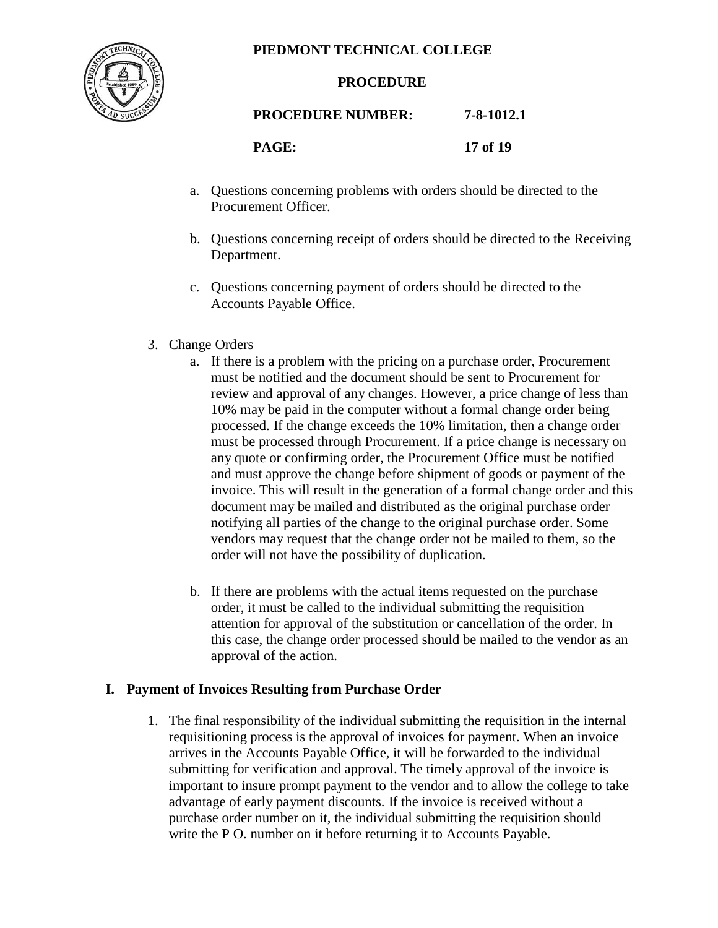

#### **PROCEDURE**

### **PROCEDURE NUMBER: 7-8-1012.1 PAGE: 17 of 19**

- a. Questions concerning problems with orders should be directed to the Procurement Officer.
- b. Questions concerning receipt of orders should be directed to the Receiving Department.
- c. Questions concerning payment of orders should be directed to the Accounts Payable Office.
- 3. Change Orders
	- a. If there is a problem with the pricing on a purchase order, Procurement must be notified and the document should be sent to Procurement for review and approval of any changes. However, a price change of less than 10% may be paid in the computer without a formal change order being processed. If the change exceeds the 10% limitation, then a change order must be processed through Procurement. If a price change is necessary on any quote or confirming order, the Procurement Office must be notified and must approve the change before shipment of goods or payment of the invoice. This will result in the generation of a formal change order and this document may be mailed and distributed as the original purchase order notifying all parties of the change to the original purchase order. Some vendors may request that the change order not be mailed to them, so the order will not have the possibility of duplication.
	- b. If there are problems with the actual items requested on the purchase order, it must be called to the individual submitting the requisition attention for approval of the substitution or cancellation of the order. In this case, the change order processed should be mailed to the vendor as an approval of the action.

#### **I. Payment of Invoices Resulting from Purchase Order**

1. The final responsibility of the individual submitting the requisition in the internal requisitioning process is the approval of invoices for payment. When an invoice arrives in the Accounts Payable Office, it will be forwarded to the individual submitting for verification and approval. The timely approval of the invoice is important to insure prompt payment to the vendor and to allow the college to take advantage of early payment discounts. If the invoice is received without a purchase order number on it, the individual submitting the requisition should write the P O. number on it before returning it to Accounts Payable.